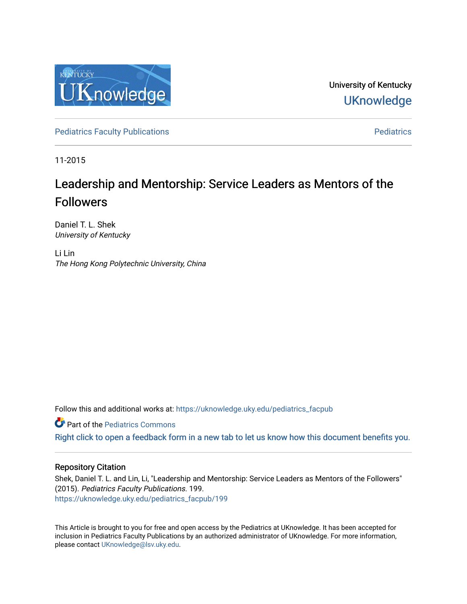

University of Kentucky **UKnowledge** 

[Pediatrics Faculty Publications](https://uknowledge.uky.edu/pediatrics_facpub) **Pediatrics** [Pediatrics](https://uknowledge.uky.edu/pediatrics) Pediatrics

11-2015

# Leadership and Mentorship: Service Leaders as Mentors of the Followers

Daniel T. L. Shek University of Kentucky

Li Lin The Hong Kong Polytechnic University, China

Follow this and additional works at: [https://uknowledge.uky.edu/pediatrics\\_facpub](https://uknowledge.uky.edu/pediatrics_facpub?utm_source=uknowledge.uky.edu%2Fpediatrics_facpub%2F199&utm_medium=PDF&utm_campaign=PDFCoverPages) 

**C** Part of the [Pediatrics Commons](http://network.bepress.com/hgg/discipline/700?utm_source=uknowledge.uky.edu%2Fpediatrics_facpub%2F199&utm_medium=PDF&utm_campaign=PDFCoverPages)

[Right click to open a feedback form in a new tab to let us know how this document benefits you.](https://uky.az1.qualtrics.com/jfe/form/SV_9mq8fx2GnONRfz7)

## Repository Citation

Shek, Daniel T. L. and Lin, Li, "Leadership and Mentorship: Service Leaders as Mentors of the Followers" (2015). Pediatrics Faculty Publications. 199. [https://uknowledge.uky.edu/pediatrics\\_facpub/199](https://uknowledge.uky.edu/pediatrics_facpub/199?utm_source=uknowledge.uky.edu%2Fpediatrics_facpub%2F199&utm_medium=PDF&utm_campaign=PDFCoverPages) 

This Article is brought to you for free and open access by the Pediatrics at UKnowledge. It has been accepted for inclusion in Pediatrics Faculty Publications by an authorized administrator of UKnowledge. For more information, please contact [UKnowledge@lsv.uky.edu.](mailto:UKnowledge@lsv.uky.edu)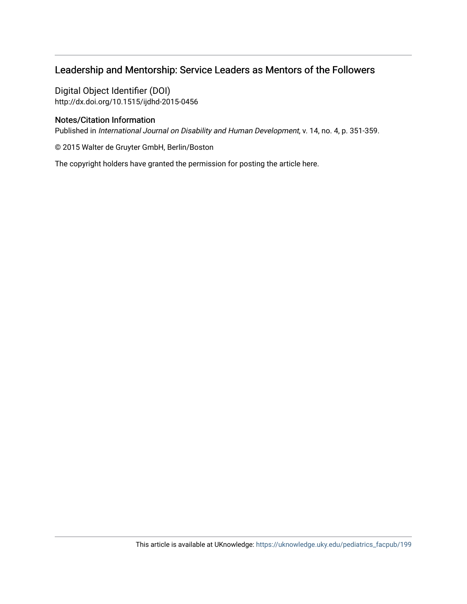# Leadership and Mentorship: Service Leaders as Mentors of the Followers

Digital Object Identifier (DOI) http://dx.doi.org/10.1515/ijdhd-2015-0456

## Notes/Citation Information

Published in International Journal on Disability and Human Development, v. 14, no. 4, p. 351-359.

© 2015 Walter de Gruyter GmbH, Berlin/Boston

The copyright holders have granted the permission for posting the article here.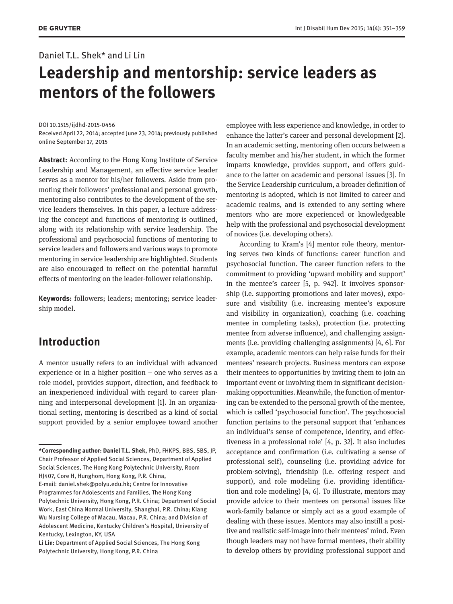# Daniel T.L. Shek\* and Li Lin **Leadership and mentorship: service leaders as mentors of the followers**

DOI 10.1515/ijdhd-2015-0456

Received April 22, 2014; accepted June 23, 2014; previously published online September 17, 2015

**Abstract:** According to the Hong Kong Institute of Service Leadership and Management, an effective service leader serves as a mentor for his/her followers. Aside from promoting their followers' professional and personal growth, mentoring also contributes to the development of the service leaders themselves. In this paper, a lecture addressing the concept and functions of mentoring is outlined, along with its relationship with service leadership. The professional and psychosocial functions of mentoring to service leaders and followers and various ways to promote mentoring in service leadership are highlighted. Students are also encouraged to reflect on the potential harmful effects of mentoring on the leader-follower relationship.

**Keywords:** followers; leaders; mentoring; service leadership model.

# **Introduction**

A mentor usually refers to an individual with advanced experience or in a higher position – one who serves as a role model, provides support, direction, and feedback to an inexperienced individual with regard to career planning and interpersonal development [1]. In an organizational setting, mentoring is described as a kind of social support provided by a senior employee toward another employee with less experience and knowledge, in order to enhance the latter's career and personal development [2]. In an academic setting, mentoring often occurs between a faculty member and his/her student, in which the former imparts knowledge, provides support, and offers guidance to the latter on academic and personal issues [3]. In the Service Leadership curriculum, a broader definition of mentoring is adopted, which is not limited to career and academic realms, and is extended to any setting where mentors who are more experienced or knowledgeable help with the professional and psychosocial development of novices (i.e. developing others).

According to Kram's [4] mentor role theory, mentoring serves two kinds of functions: career function and psychosocial function. The career function refers to the commitment to providing 'upward mobility and support' in the mentee's career [5, p. 942]. It involves sponsorship (i.e. supporting promotions and later moves), exposure and visibility (i.e. increasing mentee's exposure and visibility in organization), coaching (i.e. coaching mentee in completing tasks), protection (i.e. protecting mentee from adverse influence), and challenging assignments (i.e. providing challenging assignments) [4, 6]. For example, academic mentors can help raise funds for their mentees' research projects. Business mentors can expose their mentees to opportunities by inviting them to join an important event or involving them in significant decisionmaking opportunities. Meanwhile, the function of mentoring can be extended to the personal growth of the mentee, which is called 'psychosocial function'. The psychosocial function pertains to the personal support that 'enhances an individual's sense of competence, identity, and effectiveness in a professional role' [4, p. 32]. It also includes acceptance and confirmation (i.e. cultivating a sense of professional self), counseling (i.e. providing advice for problem-solving), friendship (i.e. offering respect and support), and role modeling (i.e. providing identification and role modeling) [4, 6]. To illustrate, mentors may provide advice to their mentees on personal issues like work-family balance or simply act as a good example of dealing with these issues. Mentors may also instill a positive and realistic self-image into their mentees' mind. Even though leaders may not have formal mentees, their ability to develop others by providing professional support and

**<sup>\*</sup>Corresponding author: Daniel T.L. Shek,** PhD, FHKPS, BBS, SBS, JP, Chair Professor of Applied Social Sciences, Department of Applied Social Sciences, The Hong Kong Polytechnic University, Room HJ407, Core H, Hunghom, Hong Kong, P.R. China,

E-mail: [daniel.shek@polyu.edu.hk;](mailto:daniel.shek@polyu.edu.hk) Centre for Innovative Programmes for Adolescents and Families, The Hong Kong Polytechnic University, Hong Kong, P.R. China; Department of Social Work, East China Normal University, Shanghai, P.R. China; Kiang Wu Nursing College of Macau, Macau, P.R. China; and Division of Adolescent Medicine, Kentucky Children's Hospital, University of Kentucky, Lexington, KY, USA

**Li Lin:** Department of Applied Social Sciences, The Hong Kong Polytechnic University, Hong Kong, P.R. China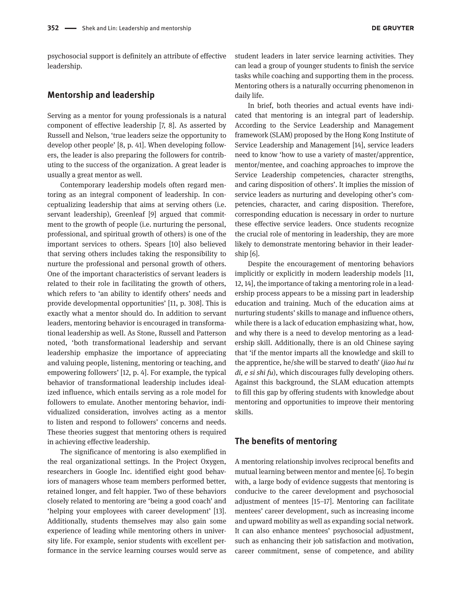psychosocial support is definitely an attribute of effective leadership.

### **Mentorship and leadership**

Serving as a mentor for young professionals is a natural component of effective leadership [7, 8]. As asserted by Russell and Nelson, 'true leaders seize the opportunity to develop other people' [8, p. 41]. When developing followers, the leader is also preparing the followers for contributing to the success of the organization. A great leader is usually a great mentor as well.

Contemporary leadership models often regard mentoring as an integral component of leadership. In conceptualizing leadership that aims at serving others (i.e. servant leadership), Greenleaf [9] argued that commitment to the growth of people (i.e. nurturing the personal, professional, and spiritual growth of others) is one of the important services to others. Spears [10] also believed that serving others includes taking the responsibility to nurture the professional and personal growth of others. One of the important characteristics of servant leaders is related to their role in facilitating the growth of others, which refers to 'an ability to identify others' needs and provide developmental opportunities' [11, p. 308]. This is exactly what a mentor should do. In addition to servant leaders, mentoring behavior is encouraged in transformational leadership as well. As Stone, Russell and Patterson noted, 'both transformational leadership and servant leadership emphasize the importance of appreciating and valuing people, listening, mentoring or teaching, and empowering followers' [12, p. 4]. For example, the typical behavior of transformational leadership includes idealized influence, which entails serving as a role model for followers to emulate. Another mentoring behavior, individualized consideration, involves acting as a mentor to listen and respond to followers' concerns and needs. These theories suggest that mentoring others is required in achieving effective leadership.

The significance of mentoring is also exemplified in the real organizational settings. In the Project Oxygen, researchers in Google Inc. identified eight good behaviors of managers whose team members performed better, retained longer, and felt happier. Two of these behaviors closely related to mentoring are 'being a good coach' and 'helping your employees with career development' [13]. Additionally, students themselves may also gain some experience of leading while mentoring others in university life. For example, senior students with excellent performance in the service learning courses would serve as

student leaders in later service learning activities. They can lead a group of younger students to finish the service tasks while coaching and supporting them in the process. Mentoring others is a naturally occurring phenomenon in daily life.

In brief, both theories and actual events have indicated that mentoring is an integral part of leadership. According to the Service Leadership and Management framework (SLAM) proposed by the Hong Kong Institute of Service Leadership and Management [14], service leaders need to know 'how to use a variety of master/apprentice, mentor/mentee, and coaching approaches to improve the Service Leadership competencies, character strengths, and caring disposition of others'. It implies the mission of service leaders as nurturing and developing other's competencies, character, and caring disposition. Therefore, corresponding education is necessary in order to nurture these effective service leaders. Once students recognize the crucial role of mentoring in leadership, they are more likely to demonstrate mentoring behavior in their leadership [6].

Despite the encouragement of mentoring behaviors implicitly or explicitly in modern leadership models [11, 12, 14], the importance of taking a mentoring role in a leadership process appears to be a missing part in leadership education and training. Much of the education aims at nurturing students' skills to manage and influence others, while there is a lack of education emphasizing what, how, and why there is a need to develop mentoring as a leadership skill. Additionally, there is an old Chinese saying that 'if the mentor imparts all the knowledge and skill to the apprentice, he/she will be starved to death' (*jiao hui tu di, e si shi fu*), which discourages fully developing others. Against this background, the SLAM education attempts to fill this gap by offering students with knowledge about mentoring and opportunities to improve their mentoring skills.

### **The benefits of mentoring**

A mentoring relationship involves reciprocal benefits and mutual learning between mentor and mentee [6]. To begin with, a large body of evidence suggests that mentoring is conducive to the career development and psychosocial adjustment of mentees [15–17]. Mentoring can facilitate mentees' career development, such as increasing income and upward mobility as well as expanding social network. It can also enhance mentees' psychosocial adjustment, such as enhancing their job satisfaction and motivation, career commitment, sense of competence, and ability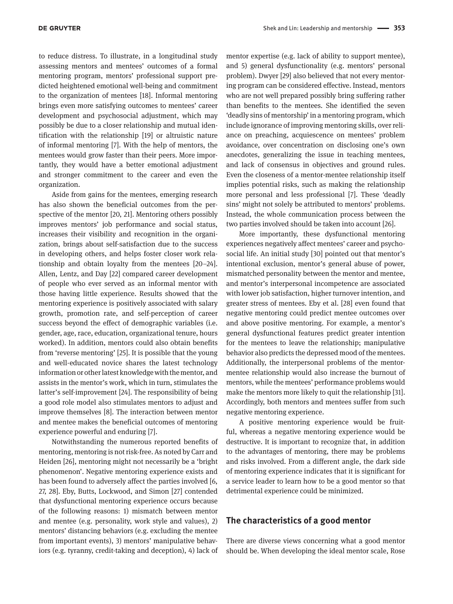to reduce distress. To illustrate, in a longitudinal study assessing mentors and mentees' outcomes of a formal mentoring program, mentors' professional support predicted heightened emotional well-being and commitment to the organization of mentees [18]. Informal mentoring brings even more satisfying outcomes to mentees' career development and psychosocial adjustment, which may possibly be due to a closer relationship and mutual identification with the relationship [19] or altruistic nature of informal mentoring [7]. With the help of mentors, the mentees would grow faster than their peers. More importantly, they would have a better emotional adjustment and stronger commitment to the career and even the organization.

Aside from gains for the mentees, emerging research has also shown the beneficial outcomes from the perspective of the mentor [20, 21]. Mentoring others possibly improves mentors' job performance and social status, increases their visibility and recognition in the organization, brings about self-satisfaction due to the success in developing others, and helps foster closer work relationship and obtain loyalty from the mentees [20–24]. Allen, Lentz, and Day [22] compared career development of people who ever served as an informal mentor with those having little experience. Results showed that the mentoring experience is positively associated with salary growth, promotion rate, and self-perception of career success beyond the effect of demographic variables (i.e. gender, age, race, education, organizational tenure, hours worked). In addition, mentors could also obtain benefits from 'reverse mentoring' [25]. It is possible that the young and well-educated novice shares the latest technology information or other latest knowledge with the mentor, and assists in the mentor's work, which in turn, stimulates the latter's self-improvement [24]. The responsibility of being a good role model also stimulates mentors to adjust and improve themselves [8]. The interaction between mentor and mentee makes the beneficial outcomes of mentoring experience powerful and enduring [7].

Notwithstanding the numerous reported benefits of mentoring, mentoring is not risk-free. As noted by Carr and Heiden [26], mentoring might not necessarily be a 'bright phenomenon'. Negative mentoring experience exists and has been found to adversely affect the parties involved [6, 27, 28]. Eby, Butts, Lockwood, and Simon [27] contended that dysfunctional mentoring experience occurs because of the following reasons: 1) mismatch between mentor and mentee (e.g. personality, work style and values), 2) mentors' distancing behaviors (e.g. excluding the mentee from important events), 3) mentors' manipulative behaviors (e.g. tyranny, credit-taking and deception), 4) lack of

mentor expertise (e.g. lack of ability to support mentee), and 5) general dysfunctionality (e.g. mentors' personal problem). Dwyer [29] also believed that not every mentoring program can be considered effective. Instead, mentors who are not well prepared possibly bring suffering rather than benefits to the mentees. She identified the seven 'deadly sins of mentorship' in a mentoring program, which include ignorance of improving mentoring skills, over reliance on preaching, acquiescence on mentees' problem avoidance, over concentration on disclosing one's own anecdotes, generalizing the issue in teaching mentees, and lack of consensus in objectives and ground rules. Even the closeness of a mentor-mentee relationship itself implies potential risks, such as making the relationship more personal and less professional [7]. These 'deadly sins' might not solely be attributed to mentors' problems. Instead, the whole communication process between the two parties involved should be taken into account [26].

More importantly, these dysfunctional mentoring experiences negatively affect mentees' career and psychosocial life. An initial study [30] pointed out that mentor's intentional exclusion, mentor's general abuse of power, mismatched personality between the mentor and mentee, and mentor's interpersonal incompetence are associated with lower job satisfaction, higher turnover intention, and greater stress of mentees. Eby et al. [28] even found that negative mentoring could predict mentee outcomes over and above positive mentoring. For example, a mentor's general dysfunctional features predict greater intention for the mentees to leave the relationship; manipulative behavior also predicts the depressed mood of the mentees. Additionally, the interpersonal problems of the mentormentee relationship would also increase the burnout of mentors, while the mentees' performance problems would make the mentors more likely to quit the relationship [31]. Accordingly, both mentors and mentees suffer from such negative mentoring experience.

A positive mentoring experience would be fruitful, whereas a negative mentoring experience would be destructive. It is important to recognize that, in addition to the advantages of mentoring, there may be problems and risks involved. From a different angle, the dark side of mentoring experience indicates that it is significant for a service leader to learn how to be a good mentor so that detrimental experience could be minimized.

### **The characteristics of a good mentor**

There are diverse views concerning what a good mentor should be. When developing the ideal mentor scale, Rose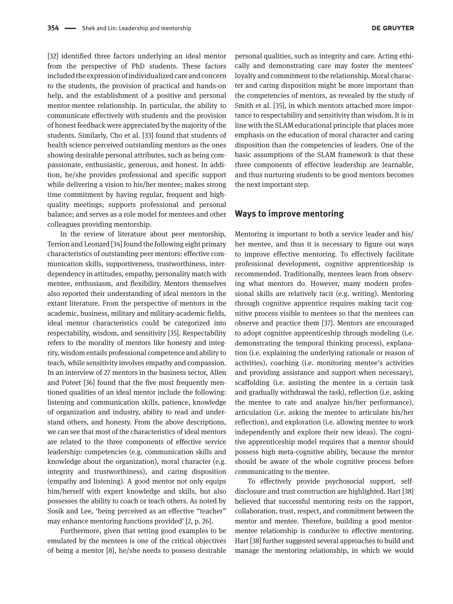[32] identified three factors underlying an ideal mentor from the perspective of PhD students. These factors included the expression of individualized care and concern to the students, the provision of practical and hands-on help, and the establishment of a positive and personal mentor-mentee relationship. In particular, the ability to communicate effectively with students and the provision of honest feedback were appreciated by the majority of the students. Similarly, Cho et al. [33] found that students of health science perceived outstanding mentors as the ones showing desirable personal attributes, such as being compassionate, enthusiastic, generous, and honest. In addition, he/she provides professional and specific support while delivering a vision to his/her mentee; makes strong time commitment by having regular, frequent and highquality meetings; supports professional and personal balance; and serves as a role model for mentees and other colleagues providing mentorship.

In the review of literature about peer mentorship, Terrion and Leonard [34] found the following eight primary characteristics of outstanding peer mentors: effective communication skills, supportiveness, trustworthiness, interdependency in attitudes, empathy, personality match with mentee, enthusiasm, and flexibility. Mentors themselves also reported their understanding of ideal mentors in the extant literature. From the perspective of mentors in the academic, business, military and military-academic fields, ideal mentor characteristics could be categorized into respectability, wisdom, and sensitivity [35]. Respectability refers to the morality of mentors like honesty and integrity, wisdom entails professional competence and ability to teach, while sensitivity involves empathy and compassion. In an interview of 27 mentors in the business sector, Allen and Poteet [36] found that the five most frequently mentioned qualities of an ideal mentor include the following: listening and communication skills, patience, knowledge of organization and industry, ability to read and understand others, and honesty. From the above descriptions, we can see that most of the characteristics of ideal mentors are related to the three components of effective service leadership: competencies (e.g. communication skills and knowledge about the organization), moral character (e.g. integrity and trustworthiness), and caring disposition (empathy and listening). A good mentor not only equips him/herself with expert knowledge and skills, but also possesses the ability to coach or teach others. As noted by Sosik and Lee, 'being perceived as an effective "teacher" may enhance mentoring functions provided' [2, p. 26].

Furthermore, given that setting good examples to be emulated by the mentees is one of the critical objectives of being a mentor [8], he/she needs to possess desirable personal qualities, such as integrity and care. Acting ethically and demonstrating care may foster the mentees' loyalty and commitment to the relationship. Moral character and caring disposition might be more important than the competencies of mentors, as revealed by the study of Smith et al. [35], in which mentors attached more importance to respectability and sensitivity than wisdom. It is in line with the SLAM educational principle that places more emphasis on the education of moral character and caring disposition than the competencies of leaders. One of the basic assumptions of the SLAM framework is that these three components of effective leadership are learnable, and thus nurturing students to be good mentors becomes the next important step.

#### **Ways to improve mentoring**

Mentoring is important to both a service leader and his/ her mentee, and thus it is necessary to figure out ways to improve effective mentoring. To effectively facilitate professional development, cognitive apprenticeship is recommended. Traditionally, mentees learn from observing what mentors do. However, many modern professional skills are relatively tacit (e.g. writing). Mentoring through cognitive apprentice requires making tacit cognitive process visible to mentees so that the mentees can observe and practice them [37]. Mentors are encouraged to adopt cognitive apprenticeship through modeling (i.e. demonstrating the temporal thinking process), explanation (i.e. explaining the underlying rationale or reason of activities), coaching (i.e. monitoring mentee's activities and providing assistance and support when necessary), scaffolding (i.e. assisting the mentee in a certain task and gradually withdrawal the task), reflection (i.e. asking the mentee to rate and analyze his/her performance), articulation (i.e. asking the mentee to articulate his/her reflection), and exploration (i.e. allowing mentee to work independently and explore their new ideas). The cognitive apprenticeship model requires that a mentor should possess high meta-cognitive ability, because the mentor should be aware of the whole cognitive process before communicating to the mentee.

To effectively provide psychosocial support, selfdisclosure and trust construction are highlighted. Hart [38] believed that successful mentoring rests on the rapport, collaboration, trust, respect, and commitment between the mentor and mentee. Therefore, building a good mentormentee relationship is conducive to effective mentoring. Hart [38] further suggested several approaches to build and manage the mentoring relationship, in which we would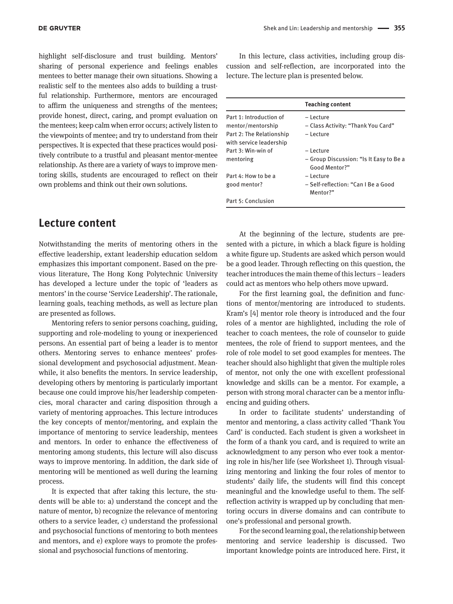highlight self-disclosure and trust building. Mentors' sharing of personal experience and feelings enables mentees to better manage their own situations. Showing a realistic self to the mentees also adds to building a trustful relationship. Furthermore, mentors are encouraged to affirm the uniqueness and strengths of the mentees; provide honest, direct, caring, and prompt evaluation on the mentees; keep calm when error occurs; actively listen to the viewpoints of mentee; and try to understand from their perspectives. It is expected that these practices would positively contribute to a trustful and pleasant mentor-mentee relationship. As there are a variety of ways to improve mentoring skills, students are encouraged to reflect on their own problems and think out their own solutions.

# **Lecture content**

Notwithstanding the merits of mentoring others in the effective leadership, extant leadership education seldom emphasizes this important component. Based on the previous literature, The Hong Kong Polytechnic University has developed a lecture under the topic of 'leaders as mentors' in the course 'Service Leadership'. The rationale, learning goals, teaching methods, as well as lecture plan are presented as follows.

Mentoring refers to senior persons coaching, guiding, supporting and role-modeling to young or inexperienced persons. An essential part of being a leader is to mentor others. Mentoring serves to enhance mentees' professional development and psychosocial adjustment. Meanwhile, it also benefits the mentors. In service leadership, developing others by mentoring is particularly important because one could improve his/her leadership competencies, moral character and caring disposition through a variety of mentoring approaches. This lecture introduces the key concepts of mentor/mentoring, and explain the importance of mentoring to service leadership, mentees and mentors. In order to enhance the effectiveness of mentoring among students, this lecture will also discuss ways to improve mentoring. In addition, the dark side of mentoring will be mentioned as well during the learning process.

It is expected that after taking this lecture, the students will be able to: a) understand the concept and the nature of mentor, b) recognize the relevance of mentoring others to a service leader, c) understand the professional and psychosocial functions of mentoring to both mentees and mentors, and e) explore ways to promote the professional and psychosocial functions of mentoring.

In this lecture, class activities, including group discussion and self-reflection, are incorporated into the lecture. The lecture plan is presented below.

|                                                     | <b>Teaching content</b>                                  |  |  |  |  |
|-----------------------------------------------------|----------------------------------------------------------|--|--|--|--|
| Part 1: Introduction of                             | - Lecture                                                |  |  |  |  |
| mentor/mentorship                                   | - Class Activity: "Thank You Card"                       |  |  |  |  |
| Part 2: The Relationship<br>with service leadership | - Lecture                                                |  |  |  |  |
| Part 3: Win-win of                                  | - Lecture                                                |  |  |  |  |
| mentoring                                           | – Group Discussion: "Is It Easy to Be a<br>Good Mentor?" |  |  |  |  |
| Part 4: How to be a                                 | - Lecture                                                |  |  |  |  |
| good mentor?                                        | - Self-reflection: "Can I Be a Good<br>Mentor?"          |  |  |  |  |
| Part 5: Conclusion                                  |                                                          |  |  |  |  |

At the beginning of the lecture, students are presented with a picture, in which a black figure is holding a white figure up. Students are asked which person would be a good leader. Through reflecting on this question, the teacher introduces the main theme of this lecturs – leaders could act as mentors who help others move upward.

For the first learning goal, the definition and functions of mentor/mentoring are introduced to students. Kram's [4] mentor role theory is introduced and the four roles of a mentor are highlighted, including the role of teacher to coach mentees, the role of counselor to guide mentees, the role of friend to support mentees, and the role of role model to set good examples for mentees. The teacher should also highlight that given the multiple roles of mentor, not only the one with excellent professional knowledge and skills can be a mentor. For example, a person with strong moral character can be a mentor influencing and guiding others.

In order to facilitate students' understanding of mentor and mentoring, a class activity called 'Thank You Card' is conducted. Each student is given a worksheet in the form of a thank you card, and is required to write an acknowledgment to any person who ever took a mentoring role in his/her life (see Worksheet 1). Through visualizing mentoring and linking the four roles of mentor to students' daily life, the students will find this concept meaningful and the knowledge useful to them. The selfreflection activity is wrapped up by concluding that mentoring occurs in diverse domains and can contribute to one's professional and personal growth.

For the second learning goal, the relationship between mentoring and service leadership is discussed. Two important knowledge points are introduced here. First, it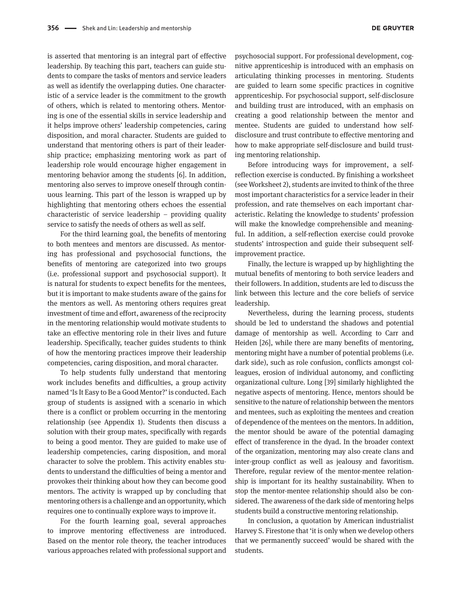**DE GRUYTER** 

is asserted that mentoring is an integral part of effective leadership. By teaching this part, teachers can guide students to compare the tasks of mentors and service leaders as well as identify the overlapping duties. One characteristic of a service leader is the commitment to the growth of others, which is related to mentoring others. Mentoring is one of the essential skills in service leadership and it helps improve others' leadership competencies, caring disposition, and moral character. Students are guided to understand that mentoring others is part of their leadership practice; emphasizing mentoring work as part of leadership role would encourage higher engagement in mentoring behavior among the students [6]. In addition, mentoring also serves to improve oneself through continuous learning. This part of the lesson is wrapped up by highlighting that mentoring others echoes the essential characteristic of service leadership – providing quality service to satisfy the needs of others as well as self.

For the third learning goal, the benefits of mentoring to both mentees and mentors are discussed. As mentoring has professional and psychosocial functions, the benefits of mentoring are categorized into two groups (i.e. professional support and psychosocial support). It is natural for students to expect benefits for the mentees, but it is important to make students aware of the gains for the mentors as well. As mentoring others requires great investment of time and effort, awareness of the reciprocity in the mentoring relationship would motivate students to take an effective mentoring role in their lives and future leadership. Specifically, teacher guides students to think of how the mentoring practices improve their leadership competencies, caring disposition, and moral character.

To help students fully understand that mentoring work includes benefits and difficulties, a group activity named 'Is It Easy to Be a Good Mentor?' is conducted. Each group of students is assigned with a scenario in which there is a conflict or problem occurring in the mentoring relationship (see Appendix 1). Students then discuss a solution with their group mates, specifically with regards to being a good mentor. They are guided to make use of leadership competencies, caring disposition, and moral character to solve the problem. This activity enables students to understand the difficulties of being a mentor and provokes their thinking about how they can become good mentors. The activity is wrapped up by concluding that mentoring others is a challenge and an opportunity, which requires one to continually explore ways to improve it.

For the fourth learning goal, several approaches to improve mentoring effectiveness are introduced. Based on the mentor role theory, the teacher introduces various approaches related with professional support and

psychosocial support. For professional development, cognitive apprenticeship is introduced with an emphasis on articulating thinking processes in mentoring. Students are guided to learn some specific practices in cognitive apprenticeship. For psychosocial support, self-disclosure and building trust are introduced, with an emphasis on creating a good relationship between the mentor and mentee. Students are guided to understand how selfdisclosure and trust contribute to effective mentoring and how to make appropriate self-disclosure and build trusting mentoring relationship.

Before introducing ways for improvement, a selfreflection exercise is conducted. By finishing a worksheet (see Worksheet 2), students are invited to think of the three most important characteristics for a service leader in their profession, and rate themselves on each important characteristic. Relating the knowledge to students' profession will make the knowledge comprehensible and meaningful. In addition, a self-reflection exercise could provoke students' introspection and guide their subsequent selfimprovement practice.

Finally, the lecture is wrapped up by highlighting the mutual benefits of mentoring to both service leaders and their followers. In addition, students are led to discuss the link between this lecture and the core beliefs of service leadership.

Nevertheless, during the learning process, students should be led to understand the shadows and potential damage of mentorship as well. According to Carr and Heiden [26], while there are many benefits of mentoring, mentoring might have a number of potential problems (i.e. dark side), such as role confusion, conflicts amongst colleagues, erosion of individual autonomy, and conflicting organizational culture. Long [39] similarly highlighted the negative aspects of mentoring. Hence, mentors should be sensitive to the nature of relationship between the mentors and mentees, such as exploiting the mentees and creation of dependence of the mentees on the mentors. In addition, the mentor should be aware of the potential damaging effect of transference in the dyad. In the broader context of the organization, mentoring may also create clans and inter-group conflict as well as jealousy and favoritism. Therefore, regular review of the mentor-mentee relationship is important for its healthy sustainability. When to stop the mentor-mentee relationship should also be considered. The awareness of the dark side of mentoring helps students build a constructive mentoring relationship.

In conclusion, a quotation by American industrialist Harvey S. Firestone that 'it is only when we develop others that we permanently succeed' would be shared with the students.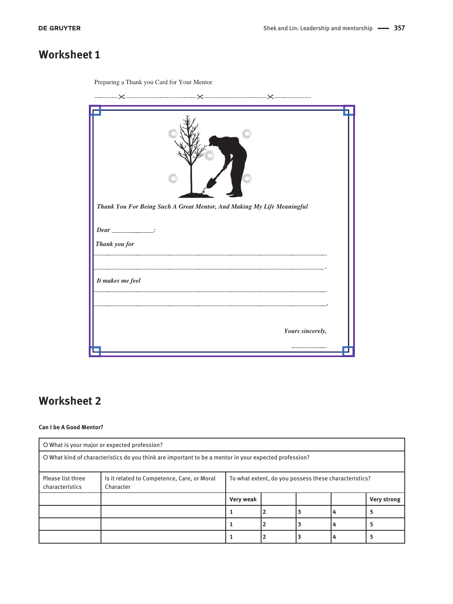# **Worksheet 1**

| Thank You For Being Such A Great Mentor, And Making My Life Meaningful<br>$Dear$ $\qquad$<br>Thank you for                                 |  |
|--------------------------------------------------------------------------------------------------------------------------------------------|--|
| It makes me feel                                                                                                                           |  |
| <u> 1980 - Johann John Harry Harry Harry Harry Harry Harry Harry Harry Harry Harry Harry Harry Harry Harry Harry H</u><br>Yours sincerely, |  |
|                                                                                                                                            |  |

Preparing a Thank you Card for Your Mentor

# **Worksheet 2**

#### **Can I be A Good Mentor?**

| O What is your major or expected profession?                                                          |                                                          |                                                       |  |  |  |                    |  |  |  |
|-------------------------------------------------------------------------------------------------------|----------------------------------------------------------|-------------------------------------------------------|--|--|--|--------------------|--|--|--|
| O What kind of characteristics do you think are important to be a mentor in your expected profession? |                                                          |                                                       |  |  |  |                    |  |  |  |
| Please list three<br>characteristics                                                                  | Is it related to Competence, Care, or Moral<br>Character | To what extent, do you possess these characteristics? |  |  |  |                    |  |  |  |
|                                                                                                       |                                                          | Very weak                                             |  |  |  | <b>Very strong</b> |  |  |  |
|                                                                                                       |                                                          |                                                       |  |  |  |                    |  |  |  |
|                                                                                                       |                                                          |                                                       |  |  |  |                    |  |  |  |
|                                                                                                       |                                                          |                                                       |  |  |  |                    |  |  |  |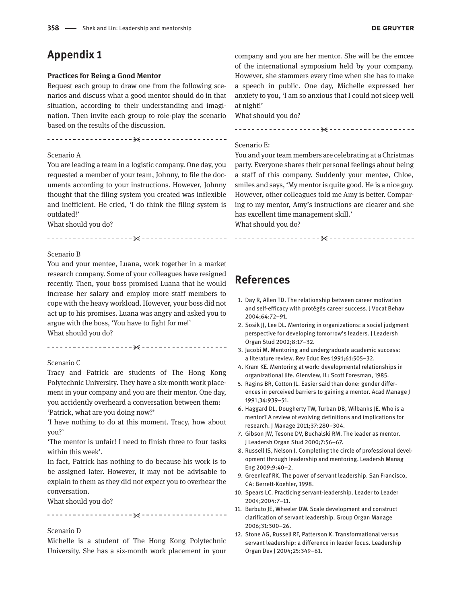# **Appendix 1**

#### **Practices for Being a Good Mentor**

Request each group to draw one from the following scenarios and discuss what a good mentor should do in that situation, according to their understanding and imagination. Then invite each group to role-play the scenario based on the results of the discussion.

#### Scenario A

You are leading a team in a logistic company. One day, you requested a member of your team, Johnny, to file the documents according to your instructions. However, Johnny thought that the filing system you created was inflexible and inefficient. He cried, 'I do think the filing system is outdated!'

What should you do?

#### Scenario B

You and your mentee, Luana, work together in a market research company. Some of your colleagues have resigned recently. Then, your boss promised Luana that he would increase her salary and employ more staff members to cope with the heavy workload. However, your boss did not act up to his promises. Luana was angry and asked you to argue with the boss, 'You have to fight for me!' What should you do?

#### Scenario C

Tracy and Patrick are students of The Hong Kong Polytechnic University. They have a six-month work placement in your company and you are their mentor. One day, you accidently overheard a conversation between them: 'Patrick, what are you doing now?'

'I have nothing to do at this moment. Tracy, how about you?'

'The mentor is unfair! I need to finish three to four tasks within this week'.

In fact, Patrick has nothing to do because his work is to be assigned later. However, it may not be advisable to explain to them as they did not expect you to overhear the conversation.

What should you do?

#### 

#### Scenario D

Michelle is a student of The Hong Kong Polytechnic University. She has a six-month work placement in your

company and you are her mentor. She will be the emcee of the international symposium held by your company. However, she stammers every time when she has to make a speech in public. One day, Michelle expressed her anxiety to you, 'I am so anxious that I could not sleep well at night!'

What should you do?

#### Scenario E:

You and your team members are celebrating at a Christmas party. Everyone shares their personal feelings about being a staff of this company. Suddenly your mentee, Chloe, smiles and says, 'My mentor is quite good. He is a nice guy. However, other colleagues told me Amy is better. Comparing to my mentor, Amy's instructions are clearer and she has excellent time management skill.'

What should you do?

# **References**

- 1. Day R, Allen TD. The relationship between career motivation and self-efficacy with protégés career success. J Vocat Behav 2004;64:72–91.
- 2. Sosik JJ, Lee DL. Mentoring in organizations: a social judgment perspective for developing tomorrow's leaders. J Leadersh Organ Stud 2002;8:17–32.
- 3. Jacobi M. Mentoring and undergraduate academic success: a literature review. Rev Educ Res 1991;61:505–32.
- 4. Kram KE. Mentoring at work: developmental relationships in organizational life. Glenview, IL: Scott Foresman, 1985.
- 5. Ragins BR, Cotton JL. Easier said than done: gender differences in perceived barriers to gaining a mentor. Acad Manage J 1991;34:939–51.
- 6. Haggard DL, Dougherty TW, Turban DB, Wilbanks JE. Who is a mentor? A review of evolving definitions and implications for research. J Manage 2011;37:280–304.
- 7. Gibson JW, Tesone DV, Buchalski RM. The leader as mentor. J Leadersh Organ Stud 2000;7:56–67.
- 8. Russell JS, Nelson J. Completing the circle of professional development through leadership and mentoring. Leadersh Manag Eng 2009;9:40–2.
- 9. Greenleaf RK. The power of servant leadership. San Francisco, CA: Berrett-Koehler, 1998.
- 10. Spears LC. Practicing servant-leadership. Leader to Leader 2004;2004:7–11.
- 11. Barbuto JE, Wheeler DW. Scale development and construct clarification of servant leadership. Group Organ Manage 2006;31:300–26.
- 12. Stone AG, Russell RF, Patterson K. Transformational versus servant leadership: a difference in leader focus. Leadership Organ Dev J 2004;25:349–61.